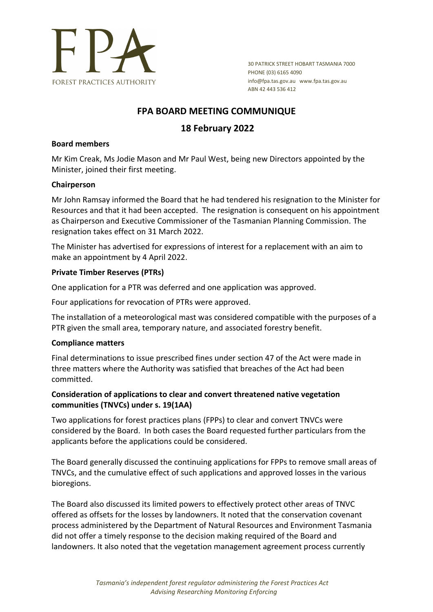

30 PATRICK STREET HOBART TASMANIA 7000 PHONE (03) 6165 4090 info@fpa.tas.gov.au www.fpa.tas.gov.au ABN 42 443 536 412

# **FPA BOARD MEETING COMMUNIQUE**

# **18 February 2022**

#### **Board members**

Mr Kim Creak, Ms Jodie Mason and Mr Paul West, being new Directors appointed by the Minister, joined their first meeting.

#### **Chairperson**

Mr John Ramsay informed the Board that he had tendered his resignation to the Minister for Resources and that it had been accepted. The resignation is consequent on his appointment as Chairperson and Executive Commissioner of the Tasmanian Planning Commission. The resignation takes effect on 31 March 2022.

The Minister has advertised for expressions of interest for a replacement with an aim to make an appointment by 4 April 2022.

#### **Private Timber Reserves (PTRs)**

One application for a PTR was deferred and one application was approved.

Four applications for revocation of PTRs were approved.

The installation of a meteorological mast was considered compatible with the purposes of a PTR given the small area, temporary nature, and associated forestry benefit.

#### **Compliance matters**

Final determinations to issue prescribed fines under section 47 of the Act were made in three matters where the Authority was satisfied that breaches of the Act had been committed.

## **Consideration of applications to clear and convert threatened native vegetation communities (TNVCs) under s. 19(1AA)**

Two applications for forest practices plans (FPPs) to clear and convert TNVCs were considered by the Board. In both cases the Board requested further particulars from the applicants before the applications could be considered.

The Board generally discussed the continuing applications for FPPs to remove small areas of TNVCs, and the cumulative effect of such applications and approved losses in the various bioregions.

The Board also discussed its limited powers to effectively protect other areas of TNVC offered as offsets for the losses by landowners. It noted that the conservation covenant process administered by the Department of Natural Resources and Environment Tasmania did not offer a timely response to the decision making required of the Board and landowners. It also noted that the vegetation management agreement process currently